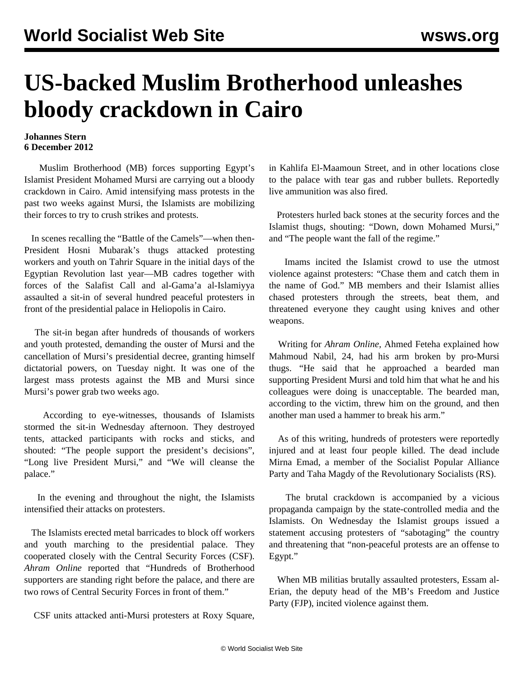## **US-backed Muslim Brotherhood unleashes bloody crackdown in Cairo**

## **Johannes Stern 6 December 2012**

 Muslim Brotherhood (MB) forces supporting Egypt's Islamist President Mohamed Mursi are carrying out a bloody crackdown in Cairo. Amid intensifying mass protests in the past two weeks against Mursi, the Islamists are mobilizing their forces to try to crush strikes and protests.

 In scenes recalling the "Battle of the Camels"—when then-President Hosni Mubarak's thugs attacked protesting workers and youth on Tahrir Square in the initial days of the Egyptian Revolution last year—MB cadres together with forces of the Salafist Call and al-Gama'a al-Islamiyya assaulted a sit-in of several hundred peaceful protesters in front of the presidential palace in Heliopolis in Cairo.

 The sit-in began after hundreds of thousands of workers and youth protested, demanding the ouster of Mursi and the cancellation of Mursi's presidential decree, granting himself dictatorial powers, on Tuesday night. It was one of the largest mass protests against the MB and Mursi since Mursi's power grab two weeks ago.

 According to eye-witnesses, thousands of Islamists stormed the sit-in Wednesday afternoon. They destroyed tents, attacked participants with rocks and sticks, and shouted: "The people support the president's decisions", "Long live President Mursi," and "We will cleanse the palace."

 In the evening and throughout the night, the Islamists intensified their attacks on protesters.

 The Islamists erected metal barricades to block off workers and youth marching to the presidential palace. They cooperated closely with the Central Security Forces (CSF). *Ahram Online* reported that "Hundreds of Brotherhood supporters are standing right before the palace, and there are two rows of Central Security Forces in front of them."

CSF units attacked anti-Mursi protesters at Roxy Square,

in Kahlifa El-Maamoun Street, and in other locations close to the palace with tear gas and rubber bullets. Reportedly live ammunition was also fired.

 Protesters hurled back stones at the security forces and the Islamist thugs, shouting: "Down, down Mohamed Mursi," and "The people want the fall of the regime."

 Imams incited the Islamist crowd to use the utmost violence against protesters: "Chase them and catch them in the name of God." MB members and their Islamist allies chased protesters through the streets, beat them, and threatened everyone they caught using knives and other weapons.

 Writing for *Ahram Online,* Ahmed Feteha explained how Mahmoud Nabil, 24, had his arm broken by pro-Mursi thugs. "He said that he approached a bearded man supporting President Mursi and told him that what he and his colleagues were doing is unacceptable. The bearded man, according to the victim, threw him on the ground, and then another man used a hammer to break his arm."

 As of this writing, hundreds of protesters were reportedly injured and at least four people killed. The dead include Mirna Emad, a member of the Socialist Popular Alliance Party and Taha Magdy of the Revolutionary Socialists (RS).

 The brutal crackdown is accompanied by a vicious propaganda campaign by the state-controlled media and the Islamists. On Wednesday the Islamist groups issued a statement accusing protesters of "sabotaging" the country and threatening that "non-peaceful protests are an offense to Egypt."

 When MB militias brutally assaulted protesters, Essam al-Erian, the deputy head of the MB's Freedom and Justice Party (FJP), incited violence against them.